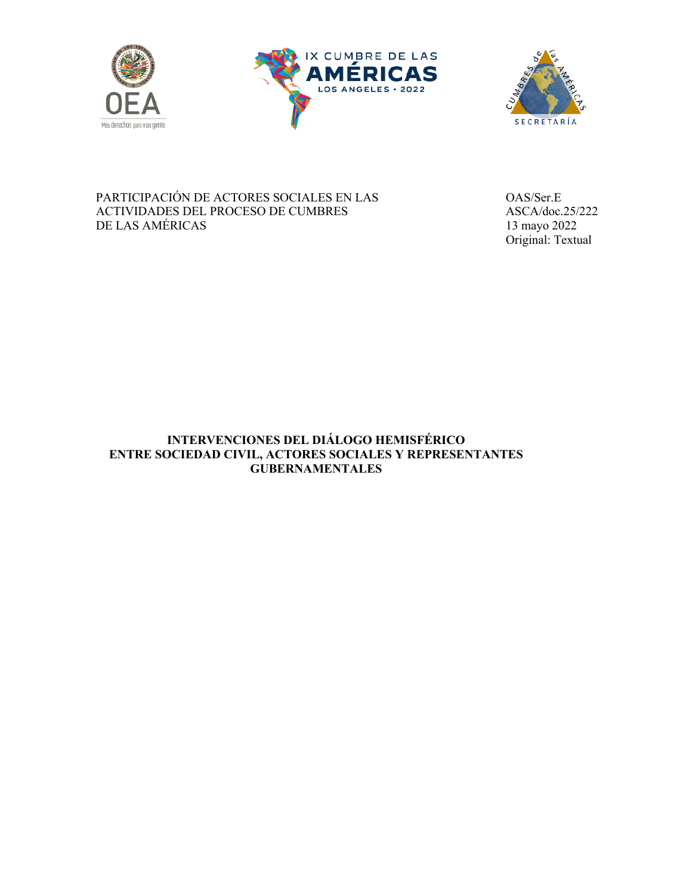





PARTICIPACIÓN DE ACTORES SOCIALES EN LAS OAS/Ser.E ACTIVIDADES DEL PROCESO DE CUMBRES ASCA/doc.25/222 DE LAS AMÉRICAS 13 mayo 2022

Original: Textual

# **INTERVENCIONES DEL DIÁLOGO HEMISFÉRICO ENTRE SOCIEDAD CIVIL, ACTORES SOCIALES Y REPRESENTANTES GUBERNAMENTALES**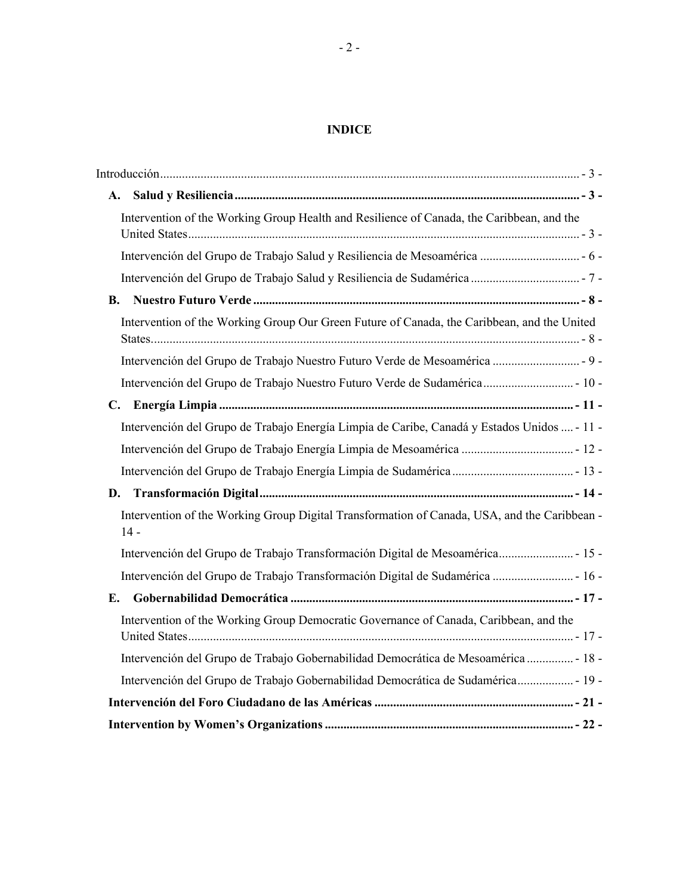# **INDICE**

|  | A.                                                                                                     |  |
|--|--------------------------------------------------------------------------------------------------------|--|
|  | Intervention of the Working Group Health and Resilience of Canada, the Caribbean, and the              |  |
|  |                                                                                                        |  |
|  |                                                                                                        |  |
|  | <b>B.</b>                                                                                              |  |
|  | Intervention of the Working Group Our Green Future of Canada, the Caribbean, and the United            |  |
|  | Intervención del Grupo de Trabajo Nuestro Futuro Verde de Mesoamérica  - 9 -                           |  |
|  | Intervención del Grupo de Trabajo Nuestro Futuro Verde de Sudamérica - 10 -                            |  |
|  |                                                                                                        |  |
|  | Intervención del Grupo de Trabajo Energía Limpia de Caribe, Canadá y Estados Unidos  - 11 -            |  |
|  | Intervención del Grupo de Trabajo Energía Limpia de Mesoamérica  - 12 -                                |  |
|  |                                                                                                        |  |
|  |                                                                                                        |  |
|  | Intervention of the Working Group Digital Transformation of Canada, USA, and the Caribbean -<br>$14 -$ |  |
|  | Intervención del Grupo de Trabajo Transformación Digital de Mesoamérica - 15 -                         |  |
|  | Intervención del Grupo de Trabajo Transformación Digital de Sudamérica  - 16 -                         |  |
|  | E.                                                                                                     |  |
|  | Intervention of the Working Group Democratic Governance of Canada, Caribbean, and the                  |  |
|  | Intervención del Grupo de Trabajo Gobernabilidad Democrática de Mesoamérica  - 18 -                    |  |
|  | Intervención del Grupo de Trabajo Gobernabilidad Democrática de Sudamérica - 19 -                      |  |
|  |                                                                                                        |  |
|  |                                                                                                        |  |
|  |                                                                                                        |  |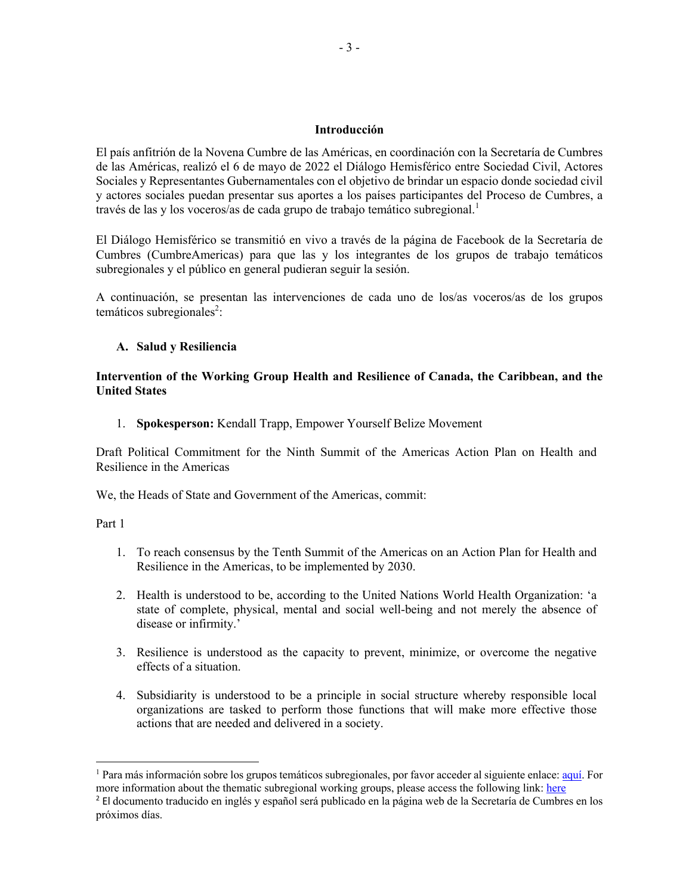#### **Introducción**

El país anfitrión de la Novena Cumbre de las Américas, en coordinación con la Secretaría de Cumbres de las Américas, realizó el 6 de mayo de 2022 el Diálogo Hemisférico entre Sociedad Civil, Actores Sociales y Representantes Gubernamentales con el objetivo de brindar un espacio donde sociedad civil y actores sociales puedan presentar sus aportes a los países participantes del Proceso de Cumbres, a través de las y los voceros/as de cada grupo de trabajo temático subregional.<sup>1</sup>

El Diálogo Hemisférico se transmitió en vivo a través de la página de Facebook de la Secretaría de Cumbres (CumbreAmericas) para que las y los integrantes de los grupos de trabajo temáticos subregionales y el público en general pudieran seguir la sesión.

A continuación, se presentan las intervenciones de cada uno de los/as voceros/as de los grupos temáticos subregionales<sup>2</sup>:

#### **A. Salud y Resiliencia**

### **Intervention of the Working Group Health and Resilience of Canada, the Caribbean, and the United States**

1. **Spokesperson:** Kendall Trapp, Empower Yourself Belize Movement

Draft Political Commitment for the Ninth Summit of the Americas Action Plan on Health and Resilience in the Americas

We, the Heads of State and Government of the Americas, commit:

Part 1

- 1. To reach consensus by the Tenth Summit of the Americas on an Action Plan for Health and Resilience in the Americas, to be implemented by 2030.
- 2. Health is understood to be, according to the United Nations World Health Organization: 'a state of complete, physical, mental and social well-being and not merely the absence of disease or infirmity.'
- 3. Resilience is understood as the capacity to prevent, minimize, or overcome the negative effects of a situation.
- 4. Subsidiarity is understood to be a principle in social structure whereby responsible local organizations are tasked to perform those functions that will make more effective those actions that are needed and delivered in a society.

<sup>1</sup> Para más información sobre los grupos temáticos subregionales, por favor acceder al siguiente enlace: aquí. For more information about the thematic subregional working groups, please access the following link: here

<sup>2</sup> El documento traducido en inglés y español será publicado en la página web de la Secretaría de Cumbres en los próximos días.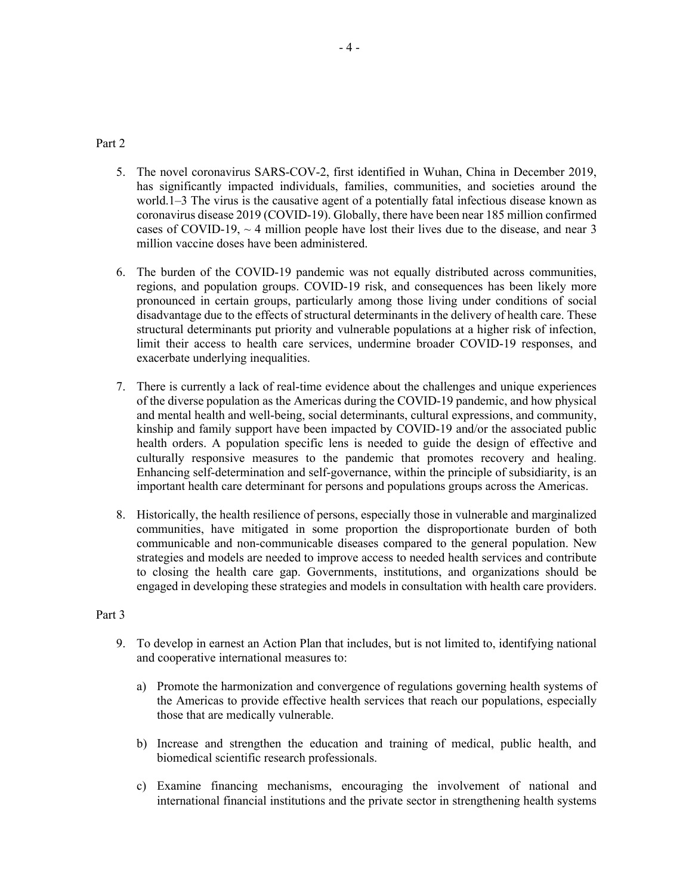### Part 2

- 5. The novel coronavirus SARS-COV-2, first identified in Wuhan, China in December 2019, has significantly impacted individuals, families, communities, and societies around the world.1–3 The virus is the causative agent of a potentially fatal infectious disease known as coronavirus disease 2019 (COVID-19). Globally, there have been near 185 million confirmed cases of COVID-19,  $\sim$  4 million people have lost their lives due to the disease, and near 3 million vaccine doses have been administered.
- 6. The burden of the COVID-19 pandemic was not equally distributed across communities, regions, and population groups. COVID-19 risk, and consequences has been likely more pronounced in certain groups, particularly among those living under conditions of social disadvantage due to the effects of structural determinants in the delivery of health care. These structural determinants put priority and vulnerable populations at a higher risk of infection, limit their access to health care services, undermine broader COVID-19 responses, and exacerbate underlying inequalities.
- 7. There is currently a lack of real-time evidence about the challenges and unique experiences of the diverse population as the Americas during the COVID-19 pandemic, and how physical and mental health and well-being, social determinants, cultural expressions, and community, kinship and family support have been impacted by COVID-19 and/or the associated public health orders. A population specific lens is needed to guide the design of effective and culturally responsive measures to the pandemic that promotes recovery and healing. Enhancing self-determination and self-governance, within the principle of subsidiarity, is an important health care determinant for persons and populations groups across the Americas.
- 8. Historically, the health resilience of persons, especially those in vulnerable and marginalized communities, have mitigated in some proportion the disproportionate burden of both communicable and non-communicable diseases compared to the general population. New strategies and models are needed to improve access to needed health services and contribute to closing the health care gap. Governments, institutions, and organizations should be engaged in developing these strategies and models in consultation with health care providers.

### Part 3

- 9. To develop in earnest an Action Plan that includes, but is not limited to, identifying national and cooperative international measures to:
	- a) Promote the harmonization and convergence of regulations governing health systems of the Americas to provide effective health services that reach our populations, especially those that are medically vulnerable.
	- b) Increase and strengthen the education and training of medical, public health, and biomedical scientific research professionals.
	- c) Examine financing mechanisms, encouraging the involvement of national and international financial institutions and the private sector in strengthening health systems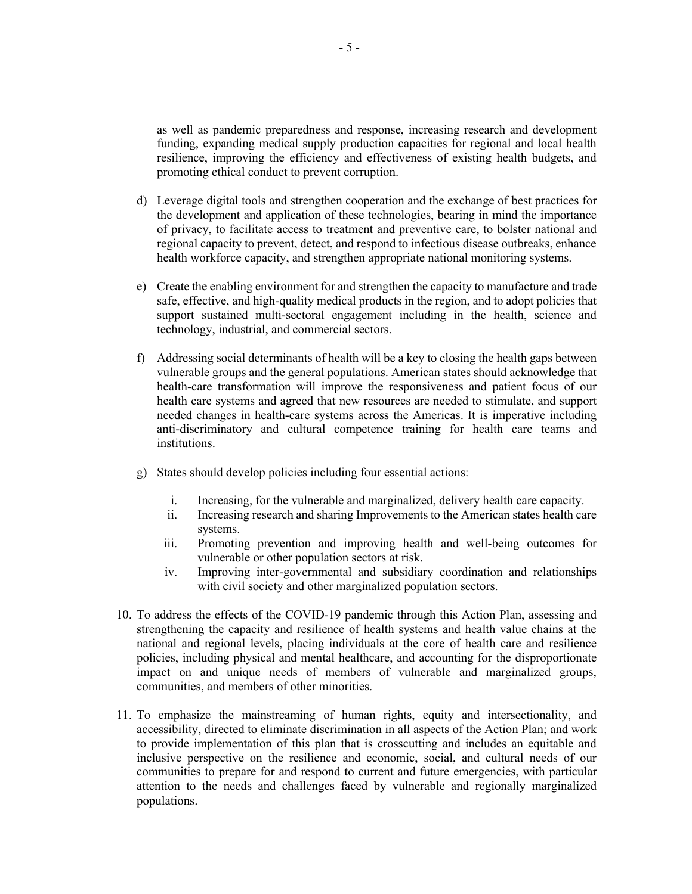as well as pandemic preparedness and response, increasing research and development funding, expanding medical supply production capacities for regional and local health resilience, improving the efficiency and effectiveness of existing health budgets, and promoting ethical conduct to prevent corruption.

- d) Leverage digital tools and strengthen cooperation and the exchange of best practices for the development and application of these technologies, bearing in mind the importance of privacy, to facilitate access to treatment and preventive care, to bolster national and regional capacity to prevent, detect, and respond to infectious disease outbreaks, enhance health workforce capacity, and strengthen appropriate national monitoring systems.
- e) Create the enabling environment for and strengthen the capacity to manufacture and trade safe, effective, and high-quality medical products in the region, and to adopt policies that support sustained multi-sectoral engagement including in the health, science and technology, industrial, and commercial sectors.
- f) Addressing social determinants of health will be a key to closing the health gaps between vulnerable groups and the general populations. American states should acknowledge that health-care transformation will improve the responsiveness and patient focus of our health care systems and agreed that new resources are needed to stimulate, and support needed changes in health-care systems across the Americas. It is imperative including anti-discriminatory and cultural competence training for health care teams and institutions.
- g) States should develop policies including four essential actions:
	- i. Increasing, for the vulnerable and marginalized, delivery health care capacity.
	- ii. Increasing research and sharing Improvements to the American states health care systems.
	- iii. Promoting prevention and improving health and well-being outcomes for vulnerable or other population sectors at risk.
	- iv. Improving inter-governmental and subsidiary coordination and relationships with civil society and other marginalized population sectors.
- 10. To address the effects of the COVID-19 pandemic through this Action Plan, assessing and strengthening the capacity and resilience of health systems and health value chains at the national and regional levels, placing individuals at the core of health care and resilience policies, including physical and mental healthcare, and accounting for the disproportionate impact on and unique needs of members of vulnerable and marginalized groups, communities, and members of other minorities.
- 11. To emphasize the mainstreaming of human rights, equity and intersectionality, and accessibility, directed to eliminate discrimination in all aspects of the Action Plan; and work to provide implementation of this plan that is crosscutting and includes an equitable and inclusive perspective on the resilience and economic, social, and cultural needs of our communities to prepare for and respond to current and future emergencies, with particular attention to the needs and challenges faced by vulnerable and regionally marginalized populations.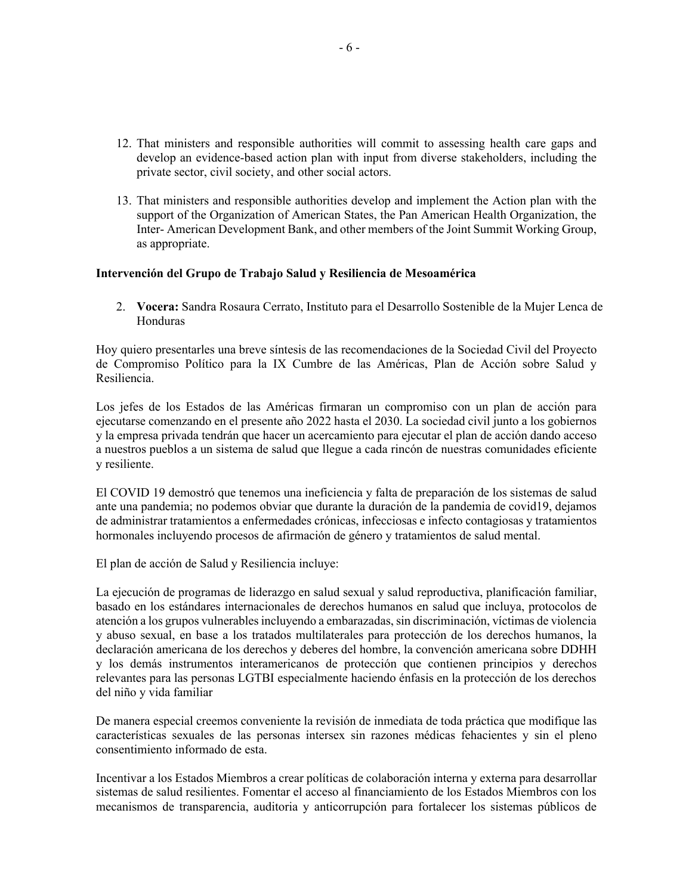- 12. That ministers and responsible authorities will commit to assessing health care gaps and develop an evidence-based action plan with input from diverse stakeholders, including the private sector, civil society, and other social actors.
- 13. That ministers and responsible authorities develop and implement the Action plan with the support of the Organization of American States, the Pan American Health Organization, the Inter- American Development Bank, and other members of the Joint Summit Working Group, as appropriate.

#### **Intervención del Grupo de Trabajo Salud y Resiliencia de Mesoamérica**

2. **Vocera:** Sandra Rosaura Cerrato, Instituto para el Desarrollo Sostenible de la Mujer Lenca de Honduras

Hoy quiero presentarles una breve síntesis de las recomendaciones de la Sociedad Civil del Proyecto de Compromiso Político para la IX Cumbre de las Américas, Plan de Acción sobre Salud y Resiliencia.

Los jefes de los Estados de las Américas firmaran un compromiso con un plan de acción para ejecutarse comenzando en el presente año 2022 hasta el 2030. La sociedad civil junto a los gobiernos y la empresa privada tendrán que hacer un acercamiento para ejecutar el plan de acción dando acceso a nuestros pueblos a un sistema de salud que llegue a cada rincón de nuestras comunidades eficiente y resiliente.

El COVID 19 demostró que tenemos una ineficiencia y falta de preparación de los sistemas de salud ante una pandemia; no podemos obviar que durante la duración de la pandemia de covid19, dejamos de administrar tratamientos a enfermedades crónicas, infecciosas e infecto contagiosas y tratamientos hormonales incluyendo procesos de afirmación de género y tratamientos de salud mental.

El plan de acción de Salud y Resiliencia incluye:

La ejecución de programas de liderazgo en salud sexual y salud reproductiva, planificación familiar, basado en los estándares internacionales de derechos humanos en salud que incluya, protocolos de atención a los grupos vulnerables incluyendo a embarazadas, sin discriminación, víctimas de violencia y abuso sexual, en base a los tratados multilaterales para protección de los derechos humanos, la declaración americana de los derechos y deberes del hombre, la convención americana sobre DDHH y los demás instrumentos interamericanos de protección que contienen principios y derechos relevantes para las personas LGTBI especialmente haciendo énfasis en la protección de los derechos del niño y vida familiar

De manera especial creemos conveniente la revisión de inmediata de toda práctica que modifique las características sexuales de las personas intersex sin razones médicas fehacientes y sin el pleno consentimiento informado de esta.

Incentivar a los Estados Miembros a crear políticas de colaboración interna y externa para desarrollar sistemas de salud resilientes. Fomentar el acceso al financiamiento de los Estados Miembros con los mecanismos de transparencia, auditoria y anticorrupción para fortalecer los sistemas públicos de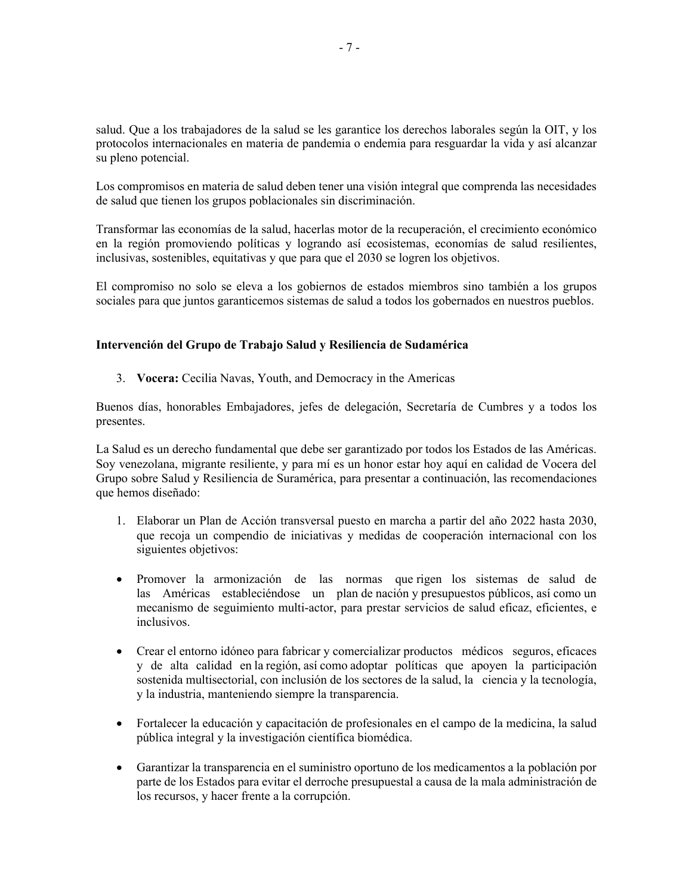salud. Que a los trabajadores de la salud se les garantice los derechos laborales según la OIT, y los protocolos internacionales en materia de pandemia o endemia para resguardar la vida y así alcanzar su pleno potencial.

Los compromisos en materia de salud deben tener una visión integral que comprenda las necesidades de salud que tienen los grupos poblacionales sin discriminación.

Transformar las economías de la salud, hacerlas motor de la recuperación, el crecimiento económico en la región promoviendo políticas y logrando así ecosistemas, economías de salud resilientes, inclusivas, sostenibles, equitativas y que para que el 2030 se logren los objetivos.

El compromiso no solo se eleva a los gobiernos de estados miembros sino también a los grupos sociales para que juntos garanticemos sistemas de salud a todos los gobernados en nuestros pueblos.

### **Intervención del Grupo de Trabajo Salud y Resiliencia de Sudamérica**

3. **Vocera:** Cecilia Navas, Youth, and Democracy in the Americas

Buenos días, honorables Embajadores, jefes de delegación, Secretaría de Cumbres y a todos los presentes.

La Salud es un derecho fundamental que debe ser garantizado por todos los Estados de las Américas. Soy venezolana, migrante resiliente, y para mí es un honor estar hoy aquí en calidad de Vocera del Grupo sobre Salud y Resiliencia de Suramérica, para presentar a continuación, las recomendaciones que hemos diseñado:

- 1. Elaborar un Plan de Acción transversal puesto en marcha a partir del año 2022 hasta 2030, que recoja un compendio de iniciativas y medidas de cooperación internacional con los siguientes objetivos:
- Promover la armonización de las normas que rigen los sistemas de salud de las Américas estableciéndose un plan de nación y presupuestos públicos, así como un mecanismo de seguimiento multi-actor, para prestar servicios de salud eficaz, eficientes, e inclusivos.
- Crear el entorno idóneo para fabricar y comercializar productos médicos seguros, eficaces y de alta calidad en la región, así como adoptar políticas que apoyen la participación sostenida multisectorial, con inclusión de los sectores de la salud, la ciencia y la tecnología, y la industria, manteniendo siempre la transparencia.
- Fortalecer la educación y capacitación de profesionales en el campo de la medicina, la salud pública integral y la investigación científica biomédica.
- Garantizar la transparencia en el suministro oportuno de los medicamentos a la población por parte de los Estados para evitar el derroche presupuestal a causa de la mala administración de los recursos, y hacer frente a la corrupción.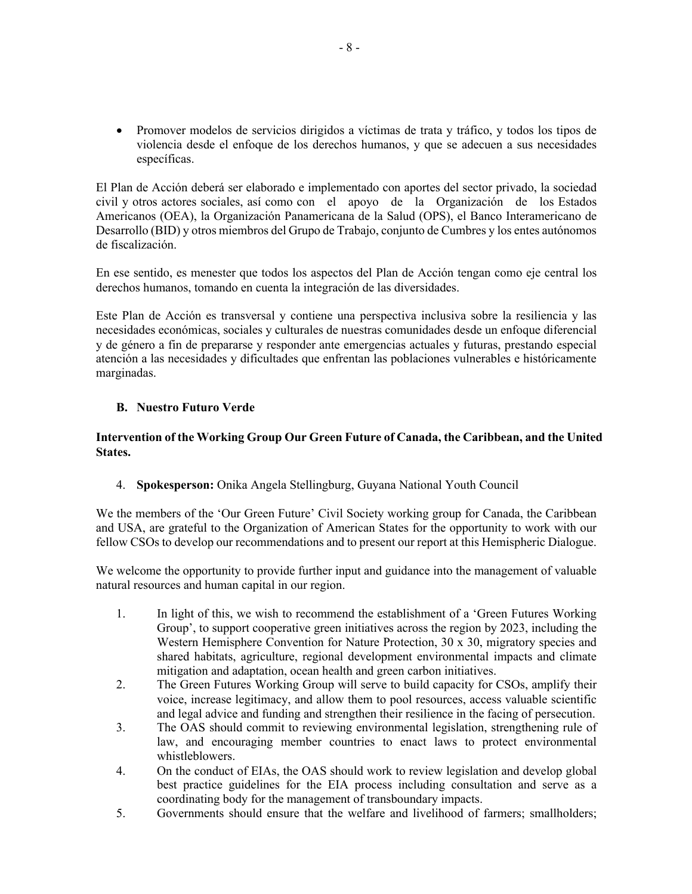• Promover modelos de servicios dirigidos a víctimas de trata y tráfico, y todos los tipos de violencia desde el enfoque de los derechos humanos, y que se adecuen a sus necesidades específicas.

El Plan de Acción deberá ser elaborado e implementado con aportes del sector privado, la sociedad civil y otros actores sociales, así como con el apoyo de la Organización de los Estados Americanos (OEA), la Organización Panamericana de la Salud (OPS), el Banco Interamericano de Desarrollo (BID) y otros miembros del Grupo de Trabajo, conjunto de Cumbres y los entes autónomos de fiscalización.

En ese sentido, es menester que todos los aspectos del Plan de Acción tengan como eje central los derechos humanos, tomando en cuenta la integración de las diversidades.

Este Plan de Acción es transversal y contiene una perspectiva inclusiva sobre la resiliencia y las necesidades económicas, sociales y culturales de nuestras comunidades desde un enfoque diferencial y de género a fin de prepararse y responder ante emergencias actuales y futuras, prestando especial atención a las necesidades y dificultades que enfrentan las poblaciones vulnerables e históricamente marginadas.

### **B. Nuestro Futuro Verde**

### **Intervention of the Working Group Our Green Future of Canada, the Caribbean, and the United States.**

4. **Spokesperson:** Onika Angela Stellingburg, Guyana National Youth Council

We the members of the 'Our Green Future' Civil Society working group for Canada, the Caribbean and USA, are grateful to the Organization of American States for the opportunity to work with our fellow CSOs to develop our recommendations and to present our report at this Hemispheric Dialogue.

We welcome the opportunity to provide further input and guidance into the management of valuable natural resources and human capital in our region.

- 1. In light of this, we wish to recommend the establishment of a 'Green Futures Working Group', to support cooperative green initiatives across the region by 2023, including the Western Hemisphere Convention for Nature Protection, 30 x 30, migratory species and shared habitats, agriculture, regional development environmental impacts and climate mitigation and adaptation, ocean health and green carbon initiatives.
- 2. The Green Futures Working Group will serve to build capacity for CSOs, amplify their voice, increase legitimacy, and allow them to pool resources, access valuable scientific and legal advice and funding and strengthen their resilience in the facing of persecution.
- 3. The OAS should commit to reviewing environmental legislation, strengthening rule of law, and encouraging member countries to enact laws to protect environmental whistleblowers.
- 4. On the conduct of EIAs, the OAS should work to review legislation and develop global best practice guidelines for the EIA process including consultation and serve as a coordinating body for the management of transboundary impacts.
- 5. Governments should ensure that the welfare and livelihood of farmers; smallholders;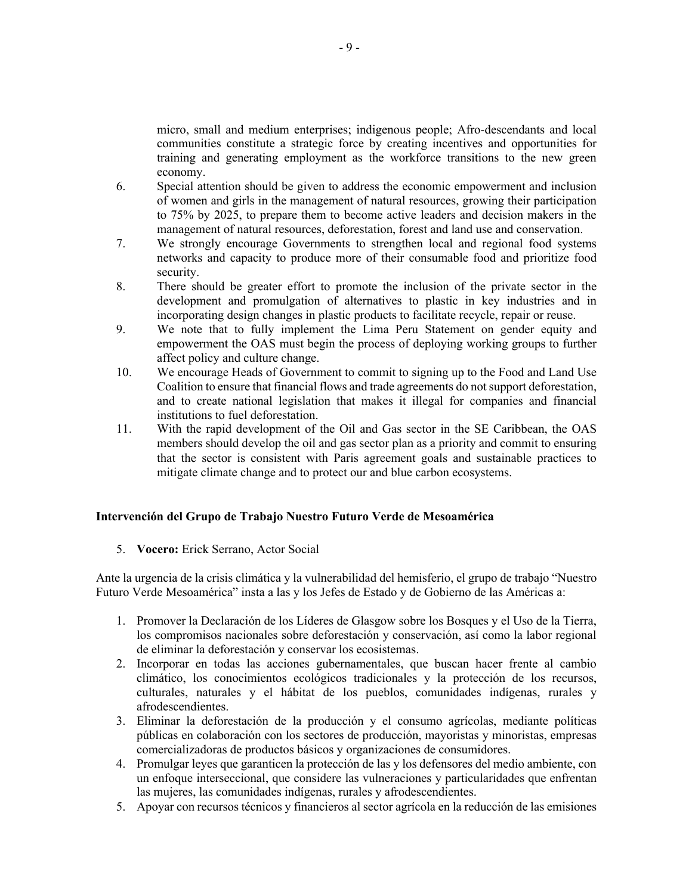micro, small and medium enterprises; indigenous people; Afro-descendants and local communities constitute a strategic force by creating incentives and opportunities for training and generating employment as the workforce transitions to the new green economy.

- 6. Special attention should be given to address the economic empowerment and inclusion of women and girls in the management of natural resources, growing their participation to 75% by 2025, to prepare them to become active leaders and decision makers in the management of natural resources, deforestation, forest and land use and conservation.
- 7. We strongly encourage Governments to strengthen local and regional food systems networks and capacity to produce more of their consumable food and prioritize food security.
- 8. There should be greater effort to promote the inclusion of the private sector in the development and promulgation of alternatives to plastic in key industries and in incorporating design changes in plastic products to facilitate recycle, repair or reuse.
- 9. We note that to fully implement the Lima Peru Statement on gender equity and empowerment the OAS must begin the process of deploying working groups to further affect policy and culture change.
- 10. We encourage Heads of Government to commit to signing up to the Food and Land Use Coalition to ensure that financial flows and trade agreements do not support deforestation, and to create national legislation that makes it illegal for companies and financial institutions to fuel deforestation.
- 11. With the rapid development of the Oil and Gas sector in the SE Caribbean, the OAS members should develop the oil and gas sector plan as a priority and commit to ensuring that the sector is consistent with Paris agreement goals and sustainable practices to mitigate climate change and to protect our and blue carbon ecosystems.

### **Intervención del Grupo de Trabajo Nuestro Futuro Verde de Mesoamérica**

5. **Vocero:** Erick Serrano, Actor Social

Ante la urgencia de la crisis climática y la vulnerabilidad del hemisferio, el grupo de trabajo "Nuestro Futuro Verde Mesoamérica" insta a las y los Jefes de Estado y de Gobierno de las Américas a:

- 1. Promover la Declaración de los Líderes de Glasgow sobre los Bosques y el Uso de la Tierra, los compromisos nacionales sobre deforestación y conservación, así como la labor regional de eliminar la deforestación y conservar los ecosistemas.
- 2. Incorporar en todas las acciones gubernamentales, que buscan hacer frente al cambio climático, los conocimientos ecológicos tradicionales y la protección de los recursos, culturales, naturales y el hábitat de los pueblos, comunidades indígenas, rurales y afrodescendientes.
- 3. Eliminar la deforestación de la producción y el consumo agrícolas, mediante políticas públicas en colaboración con los sectores de producción, mayoristas y minoristas, empresas comercializadoras de productos básicos y organizaciones de consumidores.
- 4. Promulgar leyes que garanticen la protección de las y los defensores del medio ambiente, con un enfoque interseccional, que considere las vulneraciones y particularidades que enfrentan las mujeres, las comunidades indígenas, rurales y afrodescendientes.
- 5. Apoyar con recursos técnicos y financieros al sector agrícola en la reducción de las emisiones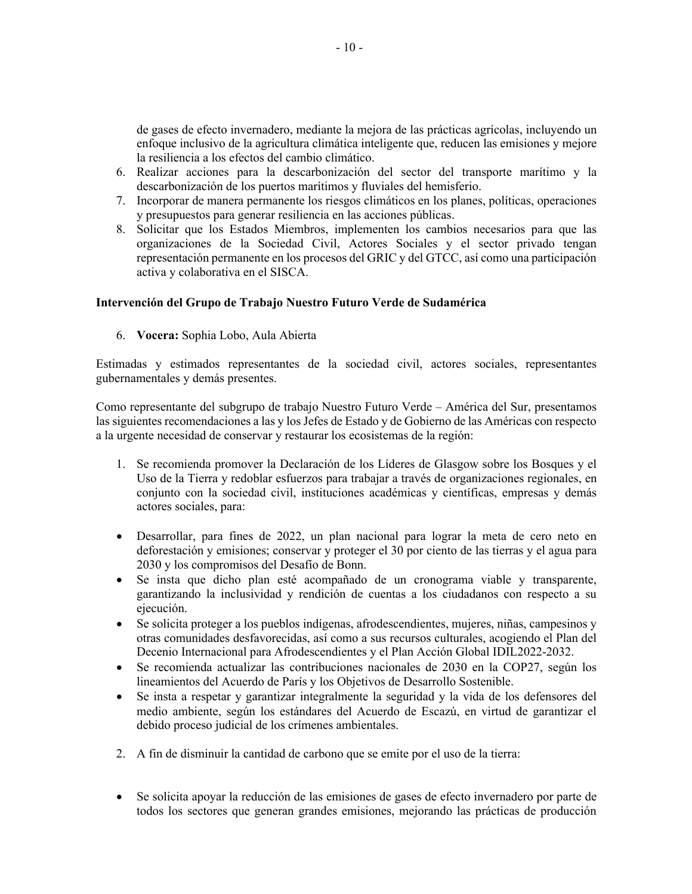de gases de efecto invernadero, mediante la mejora de las prácticas agrícolas, incluyendo un enfoque inclusivo de la agricultura climática inteligente que, reducen las emisiones y mejore la resiliencia a los efectos del cambio climático.

- 6. Realizar acciones para la descarbonización del sector del transporte marítimo y la descarbonización de los puertos marítimos y fluviales del hemisferio.
- 7. Incorporar de manera permanente los riesgos climáticos en los planes, políticas, operaciones y presupuestos para generar resiliencia en las acciones públicas.
- 8. Solicitar que los Estados Miembros, implementen los cambios necesarios para que las organizaciones de la Sociedad Civil, Actores Sociales y el sector privado tengan representación permanente en los procesos del GRIC y del GTCC, así como una participación activa y colaborativa en el SISCA.

#### **Intervención del Grupo de Trabajo Nuestro Futuro Verde de Sudamérica**

6. **Vocera:** Sophia Lobo, Aula Abierta

Estimadas y estimados representantes de la sociedad civil, actores sociales, representantes gubernamentales y demás presentes.

Como representante del subgrupo de trabajo Nuestro Futuro Verde – América del Sur, presentamos las siguientes recomendaciones a las y los Jefes de Estado y de Gobierno de las Américas con respecto a la urgente necesidad de conservar y restaurar los ecosistemas de la región:

- 1. Se recomienda promover la Declaración de los Líderes de Glasgow sobre los Bosques y el Uso de la Tierra y redoblar esfuerzos para trabajar a través de organizaciones regionales, en conjunto con la sociedad civil, instituciones académicas y científicas, empresas y demás actores sociales, para:
- Desarrollar, para fines de 2022, un plan nacional para lograr la meta de cero neto en deforestación y emisiones; conservar y proteger el 30 por ciento de las tierras y el agua para 2030 y los compromisos del Desafío de Bonn.
- Se insta que dicho plan esté acompañado de un cronograma viable y transparente, garantizando la inclusividad y rendición de cuentas a los ciudadanos con respecto a su ejecución.
- Se solicita proteger a los pueblos indígenas, afrodescendientes, mujeres, niñas, campesinos y otras comunidades desfavorecidas, así como a sus recursos culturales, acogiendo el Plan del Decenio Internacional para Afrodescendientes y el Plan Acción Global IDIL2022-2032.
- Se recomienda actualizar las contribuciones nacionales de 2030 en la COP27, según los lineamientos del Acuerdo de París y los Objetivos de Desarrollo Sostenible.
- Se insta a respetar y garantizar integralmente la seguridad y la vida de los defensores del medio ambiente, según los estándares del Acuerdo de Escazú, en virtud de garantizar el debido proceso judicial de los crímenes ambientales.
- 2. A fin de disminuir la cantidad de carbono que se emite por el uso de la tierra:
- Se solicita apoyar la reducción de las emisiones de gases de efecto invernadero por parte de todos los sectores que generan grandes emisiones, mejorando las prácticas de producción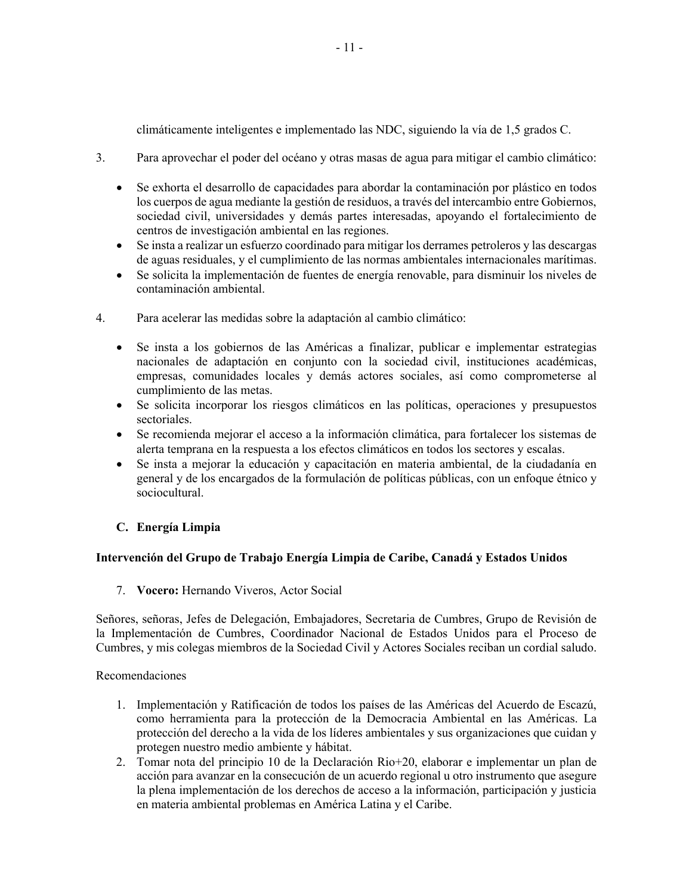climáticamente inteligentes e implementado las NDC, siguiendo la vía de 1,5 grados C.

- 3. Para aprovechar el poder del océano y otras masas de agua para mitigar el cambio climático:
	- Se exhorta el desarrollo de capacidades para abordar la contaminación por plástico en todos los cuerpos de agua mediante la gestión de residuos, a través del intercambio entre Gobiernos, sociedad civil, universidades y demás partes interesadas, apoyando el fortalecimiento de centros de investigación ambiental en las regiones.
	- Se insta a realizar un esfuerzo coordinado para mitigar los derrames petroleros y las descargas de aguas residuales, y el cumplimiento de las normas ambientales internacionales marítimas.
	- Se solicita la implementación de fuentes de energía renovable, para disminuir los niveles de contaminación ambiental.
- 4. Para acelerar las medidas sobre la adaptación al cambio climático:
	- Se insta a los gobiernos de las Américas a finalizar, publicar e implementar estrategias nacionales de adaptación en conjunto con la sociedad civil, instituciones académicas, empresas, comunidades locales y demás actores sociales, así como comprometerse al cumplimiento de las metas.
	- Se solicita incorporar los riesgos climáticos en las políticas, operaciones y presupuestos sectoriales.
	- Se recomienda mejorar el acceso a la información climática, para fortalecer los sistemas de alerta temprana en la respuesta a los efectos climáticos en todos los sectores y escalas.
	- Se insta a mejorar la educación y capacitación en materia ambiental, de la ciudadanía en general y de los encargados de la formulación de políticas públicas, con un enfoque étnico y sociocultural.

## **C. Energía Limpia**

### **Intervención del Grupo de Trabajo Energía Limpia de Caribe, Canadá y Estados Unidos**

7. **Vocero:** Hernando Viveros, Actor Social

Señores, señoras, Jefes de Delegación, Embajadores, Secretaria de Cumbres, Grupo de Revisión de la Implementación de Cumbres, Coordinador Nacional de Estados Unidos para el Proceso de Cumbres, y mis colegas miembros de la Sociedad Civil y Actores Sociales reciban un cordial saludo.

Recomendaciones

- 1. Implementación y Ratificación de todos los países de las Américas del Acuerdo de Escazú, como herramienta para la protección de la Democracia Ambiental en las Américas. La protección del derecho a la vida de los líderes ambientales y sus organizaciones que cuidan y protegen nuestro medio ambiente y hábitat.
- 2. Tomar nota del principio 10 de la Declaración Rio+20, elaborar e implementar un plan de acción para avanzar en la consecución de un acuerdo regional u otro instrumento que asegure la plena implementación de los derechos de acceso a la información, participación y justicia en materia ambiental problemas en América Latina y el Caribe.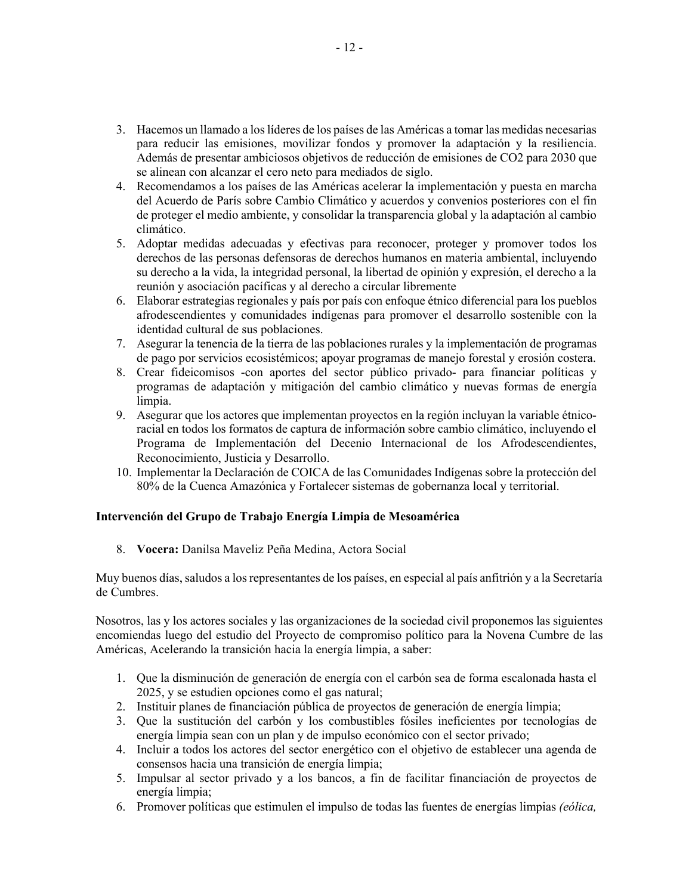- 3. Hacemos un llamado a los líderes de los países de las Américas a tomar las medidas necesarias para reducir las emisiones, movilizar fondos y promover la adaptación y la resiliencia. Además de presentar ambiciosos objetivos de reducción de emisiones de CO2 para 2030 que se alinean con alcanzar el cero neto para mediados de siglo.
- 4. Recomendamos a los países de las Américas acelerar la implementación y puesta en marcha del Acuerdo de París sobre Cambio Climático y acuerdos y convenios posteriores con el fin de proteger el medio ambiente, y consolidar la transparencia global y la adaptación al cambio climático.
- 5. Adoptar medidas adecuadas y efectivas para reconocer, proteger y promover todos los derechos de las personas defensoras de derechos humanos en materia ambiental, incluyendo su derecho a la vida, la integridad personal, la libertad de opinión y expresión, el derecho a la reunión y asociación pacíficas y al derecho a circular libremente
- 6. Elaborar estrategias regionales y país por país con enfoque étnico diferencial para los pueblos afrodescendientes y comunidades indígenas para promover el desarrollo sostenible con la identidad cultural de sus poblaciones.
- 7. Asegurar la tenencia de la tierra de las poblaciones rurales y la implementación de programas de pago por servicios ecosistémicos; apoyar programas de manejo forestal y erosión costera.
- 8. Crear fideicomisos -con aportes del sector público privado- para financiar políticas y programas de adaptación y mitigación del cambio climático y nuevas formas de energía limpia.
- 9. Asegurar que los actores que implementan proyectos en la región incluyan la variable étnicoracial en todos los formatos de captura de información sobre cambio climático, incluyendo el Programa de Implementación del Decenio Internacional de los Afrodescendientes, Reconocimiento, Justicia y Desarrollo.
- 10. Implementar la Declaración de COICA de las Comunidades Indígenas sobre la protección del 80% de la Cuenca Amazónica y Fortalecer sistemas de gobernanza local y territorial.

### **Intervención del Grupo de Trabajo Energía Limpia de Mesoamérica**

8. **Vocera:** Danilsa Maveliz Peña Medina, Actora Social

Muy buenos días, saludos a los representantes de los países, en especial al país anfitrión y a la Secretaría de Cumbres.

Nosotros, las y los actores sociales y las organizaciones de la sociedad civil proponemos las siguientes encomiendas luego del estudio del Proyecto de compromiso político para la Novena Cumbre de las Américas, Acelerando la transición hacia la energía limpia, a saber:

- 1. Que la disminución de generación de energía con el carbón sea de forma escalonada hasta el 2025, y se estudien opciones como el gas natural;
- 2. Instituir planes de financiación pública de proyectos de generación de energía limpia;
- 3. Que la sustitución del carbón y los combustibles fósiles ineficientes por tecnologías de energía limpia sean con un plan y de impulso económico con el sector privado;
- 4. Incluir a todos los actores del sector energético con el objetivo de establecer una agenda de consensos hacia una transición de energía limpia;
- 5. Impulsar al sector privado y a los bancos, a fin de facilitar financiación de proyectos de energía limpia;
- 6. Promover políticas que estimulen el impulso de todas las fuentes de energías limpias *(eólica,*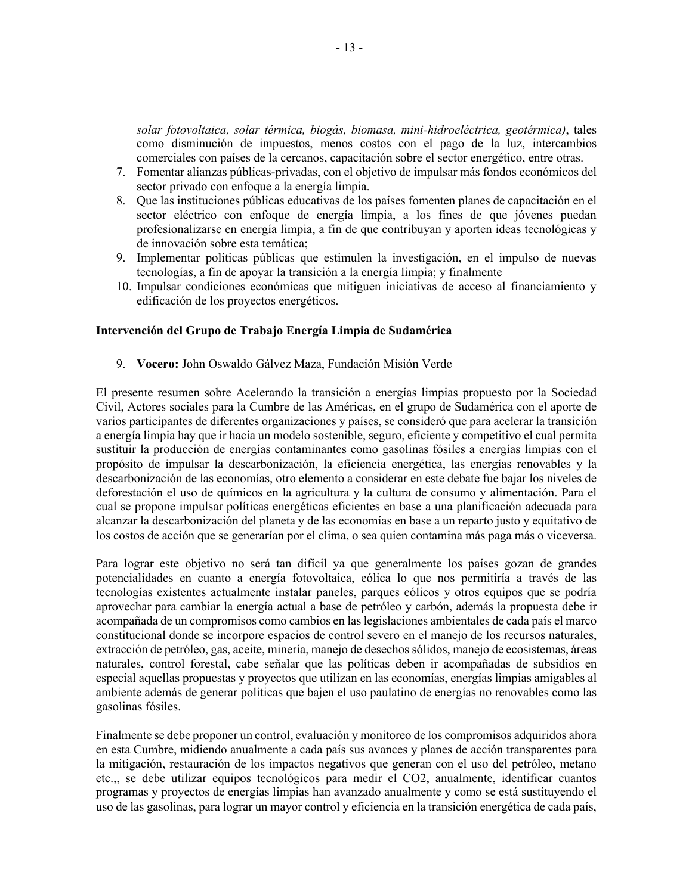*solar fotovoltaica, solar térmica, biogás, biomasa, mini-hidroeléctrica, geotérmica)*, tales como disminución de impuestos, menos costos con el pago de la luz, intercambios comerciales con países de la cercanos, capacitación sobre el sector energético, entre otras.

- 7. Fomentar alianzas públicas-privadas, con el objetivo de impulsar más fondos económicos del sector privado con enfoque a la energía limpia.
- 8. Que las instituciones públicas educativas de los países fomenten planes de capacitación en el sector eléctrico con enfoque de energía limpia, a los fines de que jóvenes puedan profesionalizarse en energía limpia, a fin de que contribuyan y aporten ideas tecnológicas y de innovación sobre esta temática;
- 9. Implementar políticas públicas que estimulen la investigación, en el impulso de nuevas tecnologías, a fin de apoyar la transición a la energía limpia; y finalmente
- 10. Impulsar condiciones económicas que mitiguen iniciativas de acceso al financiamiento y edificación de los proyectos energéticos.

#### **Intervención del Grupo de Trabajo Energía Limpia de Sudamérica**

9. **Vocero:** John Oswaldo Gálvez Maza, Fundación Misión Verde

El presente resumen sobre Acelerando la transición a energías limpias propuesto por la Sociedad Civil, Actores sociales para la Cumbre de las Américas, en el grupo de Sudamérica con el aporte de varios participantes de diferentes organizaciones y países, se consideró que para acelerar la transición a energía limpia hay que ir hacia un modelo sostenible, seguro, eficiente y competitivo el cual permita sustituir la producción de energías contaminantes como gasolinas fósiles a energías limpias con el propósito de impulsar la descarbonización, la eficiencia energética, las energías renovables y la descarbonización de las economías, otro elemento a considerar en este debate fue bajar los niveles de deforestación el uso de químicos en la agricultura y la cultura de consumo y alimentación. Para el cual se propone impulsar políticas energéticas eficientes en base a una planificación adecuada para alcanzar la descarbonización del planeta y de las economías en base a un reparto justo y equitativo de los costos de acción que se generarían por el clima, o sea quien contamina más paga más o viceversa.

Para lograr este objetivo no será tan difícil ya que generalmente los países gozan de grandes potencialidades en cuanto a energía fotovoltaica, eólica lo que nos permitiría a través de las tecnologías existentes actualmente instalar paneles, parques eólicos y otros equipos que se podría aprovechar para cambiar la energía actual a base de petróleo y carbón, además la propuesta debe ir acompañada de un compromisos como cambios en las legislaciones ambientales de cada país el marco constitucional donde se incorpore espacios de control severo en el manejo de los recursos naturales, extracción de petróleo, gas, aceite, minería, manejo de desechos sólidos, manejo de ecosistemas, áreas naturales, control forestal, cabe señalar que las políticas deben ir acompañadas de subsidios en especial aquellas propuestas y proyectos que utilizan en las economías, energías limpias amigables al ambiente además de generar políticas que bajen el uso paulatino de energías no renovables como las gasolinas fósiles.

Finalmente se debe proponer un control, evaluación y monitoreo de los compromisos adquiridos ahora en esta Cumbre, midiendo anualmente a cada país sus avances y planes de acción transparentes para la mitigación, restauración de los impactos negativos que generan con el uso del petróleo, metano etc.,, se debe utilizar equipos tecnológicos para medir el CO2, anualmente, identificar cuantos programas y proyectos de energías limpias han avanzado anualmente y como se está sustituyendo el uso de las gasolinas, para lograr un mayor control y eficiencia en la transición energética de cada país,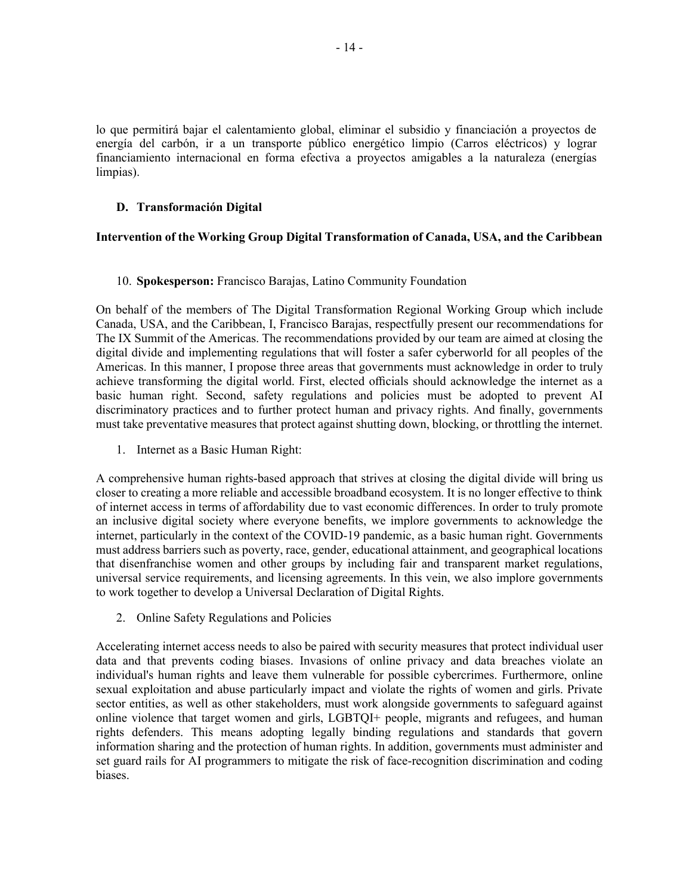lo que permitirá bajar el calentamiento global, eliminar el subsidio y financiación a proyectos de energía del carbón, ir a un transporte público energético limpio (Carros eléctricos) y lograr financiamiento internacional en forma efectiva a proyectos amigables a la naturaleza (energías limpias).

### **D. Transformación Digital**

#### **Intervention of the Working Group Digital Transformation of Canada, USA, and the Caribbean**

#### 10. **Spokesperson:** Francisco Barajas, Latino Community Foundation

On behalf of the members of The Digital Transformation Regional Working Group which include Canada, USA, and the Caribbean, I, Francisco Barajas, respectfully present our recommendations for The IX Summit of the Americas. The recommendations provided by our team are aimed at closing the digital divide and implementing regulations that will foster a safer cyberworld for all peoples of the Americas. In this manner, I propose three areas that governments must acknowledge in order to truly achieve transforming the digital world. First, elected officials should acknowledge the internet as a basic human right. Second, safety regulations and policies must be adopted to prevent AI discriminatory practices and to further protect human and privacy rights. And finally, governments must take preventative measures that protect against shutting down, blocking, or throttling the internet.

1. Internet as a Basic Human Right:

A comprehensive human rights-based approach that strives at closing the digital divide will bring us closer to creating a more reliable and accessible broadband ecosystem. It is no longer effective to think of internet access in terms of affordability due to vast economic differences. In order to truly promote an inclusive digital society where everyone benefits, we implore governments to acknowledge the internet, particularly in the context of the COVID-19 pandemic, as a basic human right. Governments must address barriers such as poverty, race, gender, educational attainment, and geographical locations that disenfranchise women and other groups by including fair and transparent market regulations, universal service requirements, and licensing agreements. In this vein, we also implore governments to work together to develop a Universal Declaration of Digital Rights.

2. Online Safety Regulations and Policies

Accelerating internet access needs to also be paired with security measures that protect individual user data and that prevents coding biases. Invasions of online privacy and data breaches violate an individual's human rights and leave them vulnerable for possible cybercrimes. Furthermore, online sexual exploitation and abuse particularly impact and violate the rights of women and girls. Private sector entities, as well as other stakeholders, must work alongside governments to safeguard against online violence that target women and girls, LGBTQI+ people, migrants and refugees, and human rights defenders. This means adopting legally binding regulations and standards that govern information sharing and the protection of human rights. In addition, governments must administer and set guard rails for AI programmers to mitigate the risk of face-recognition discrimination and coding biases.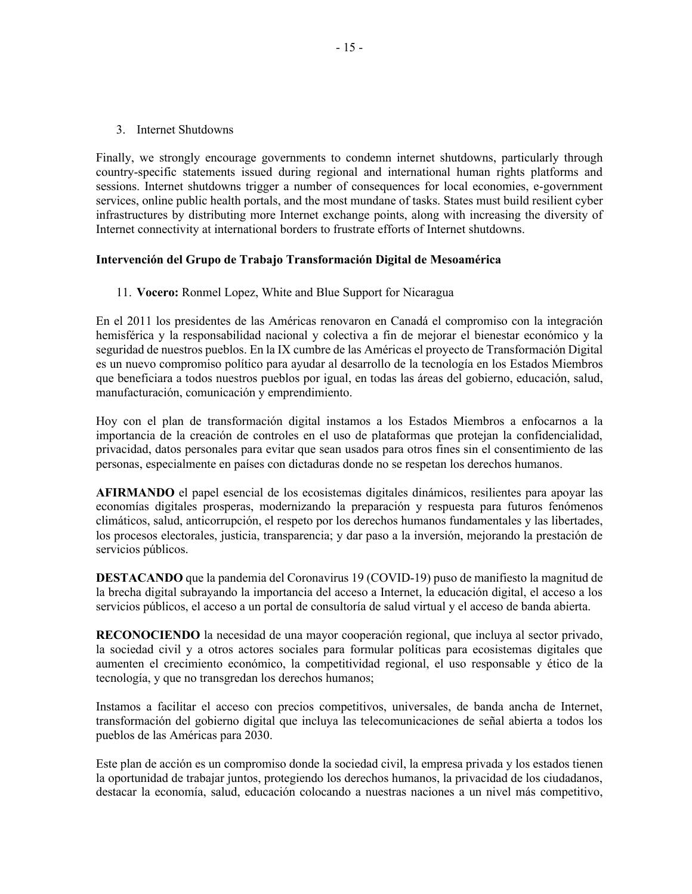3. Internet Shutdowns

Finally, we strongly encourage governments to condemn internet shutdowns, particularly through country-specific statements issued during regional and international human rights platforms and sessions. Internet shutdowns trigger a number of consequences for local economies, e-government services, online public health portals, and the most mundane of tasks. States must build resilient cyber infrastructures by distributing more Internet exchange points, along with increasing the diversity of Internet connectivity at international borders to frustrate efforts of Internet shutdowns.

#### **Intervención del Grupo de Trabajo Transformación Digital de Mesoamérica**

11. **Vocero:** Ronmel Lopez, White and Blue Support for Nicaragua

En el 2011 los presidentes de las Américas renovaron en Canadá el compromiso con la integración hemisférica y la responsabilidad nacional y colectiva a fin de mejorar el bienestar económico y la seguridad de nuestros pueblos. En la IX cumbre de las Américas el proyecto de Transformación Digital es un nuevo compromiso político para ayudar al desarrollo de la tecnología en los Estados Miembros que beneficiara a todos nuestros pueblos por igual, en todas las áreas del gobierno, educación, salud, manufacturación, comunicación y emprendimiento.

Hoy con el plan de transformación digital instamos a los Estados Miembros a enfocarnos a la importancia de la creación de controles en el uso de plataformas que protejan la confidencialidad, privacidad, datos personales para evitar que sean usados para otros fines sin el consentimiento de las personas, especialmente en países con dictaduras donde no se respetan los derechos humanos.

**AFIRMANDO** el papel esencial de los ecosistemas digitales dinámicos, resilientes para apoyar las economías digitales prosperas, modernizando la preparación y respuesta para futuros fenómenos climáticos, salud, anticorrupción, el respeto por los derechos humanos fundamentales y las libertades, los procesos electorales, justicia, transparencia; y dar paso a la inversión, mejorando la prestación de servicios públicos.

**DESTACANDO** que la pandemia del Coronavirus 19 (COVID-19) puso de manifiesto la magnitud de la brecha digital subrayando la importancia del acceso a Internet, la educación digital, el acceso a los servicios públicos, el acceso a un portal de consultoría de salud virtual y el acceso de banda abierta.

**RECONOCIENDO** la necesidad de una mayor cooperación regional, que incluya al sector privado, la sociedad civil y a otros actores sociales para formular políticas para ecosistemas digitales que aumenten el crecimiento económico, la competitividad regional, el uso responsable y ético de la tecnología, y que no transgredan los derechos humanos;

Instamos a facilitar el acceso con precios competitivos, universales, de banda ancha de Internet, transformación del gobierno digital que incluya las telecomunicaciones de señal abierta a todos los pueblos de las Américas para 2030.

Este plan de acción es un compromiso donde la sociedad civil, la empresa privada y los estados tienen la oportunidad de trabajar juntos, protegiendo los derechos humanos, la privacidad de los ciudadanos, destacar la economía, salud, educación colocando a nuestras naciones a un nivel más competitivo,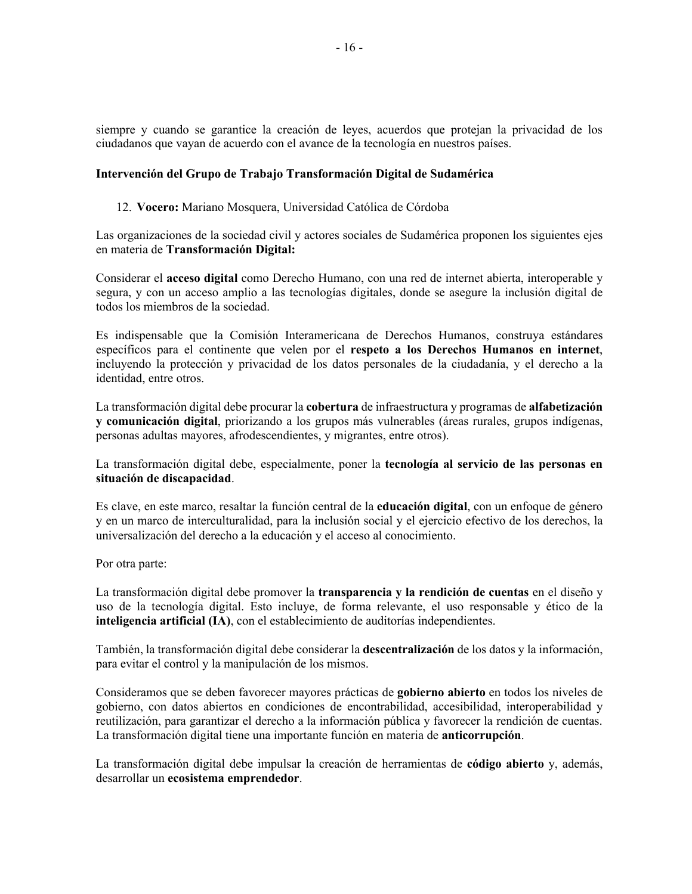siempre y cuando se garantice la creación de leyes, acuerdos que protejan la privacidad de los ciudadanos que vayan de acuerdo con el avance de la tecnología en nuestros países.

### **Intervención del Grupo de Trabajo Transformación Digital de Sudamérica**

#### 12. **Vocero:** Mariano Mosquera, Universidad Católica de Córdoba

Las organizaciones de la sociedad civil y actores sociales de Sudamérica proponen los siguientes ejes en materia de **Transformación Digital:**

Considerar el **acceso digital** como Derecho Humano, con una red de internet abierta, interoperable y segura, y con un acceso amplio a las tecnologías digitales, donde se asegure la inclusión digital de todos los miembros de la sociedad.

Es indispensable que la Comisión Interamericana de Derechos Humanos, construya estándares específicos para el continente que velen por el **respeto a los Derechos Humanos en internet**, incluyendo la protección y privacidad de los datos personales de la ciudadanía, y el derecho a la identidad, entre otros.

La transformación digital debe procurar la **cobertura** de infraestructura y programas de **alfabetización y comunicación digital**, priorizando a los grupos más vulnerables (áreas rurales, grupos indígenas, personas adultas mayores, afrodescendientes, y migrantes, entre otros).

La transformación digital debe, especialmente, poner la **tecnología al servicio de las personas en situación de discapacidad**.

Es clave, en este marco, resaltar la función central de la **educación digital**, con un enfoque de género y en un marco de interculturalidad, para la inclusión social y el ejercicio efectivo de los derechos, la universalización del derecho a la educación y el acceso al conocimiento.

Por otra parte:

La transformación digital debe promover la **transparencia y la rendición de cuentas** en el diseño y uso de la tecnología digital. Esto incluye, de forma relevante, el uso responsable y ético de la **inteligencia artificial (IA)**, con el establecimiento de auditorías independientes.

También, la transformación digital debe considerar la **descentralización** de los datos y la información, para evitar el control y la manipulación de los mismos.

Consideramos que se deben favorecer mayores prácticas de **gobierno abierto** en todos los niveles de gobierno, con datos abiertos en condiciones de encontrabilidad, accesibilidad, interoperabilidad y reutilización, para garantizar el derecho a la información pública y favorecer la rendición de cuentas. La transformación digital tiene una importante función en materia de **anticorrupción**.

La transformación digital debe impulsar la creación de herramientas de **código abierto** y, además, desarrollar un **ecosistema emprendedor**.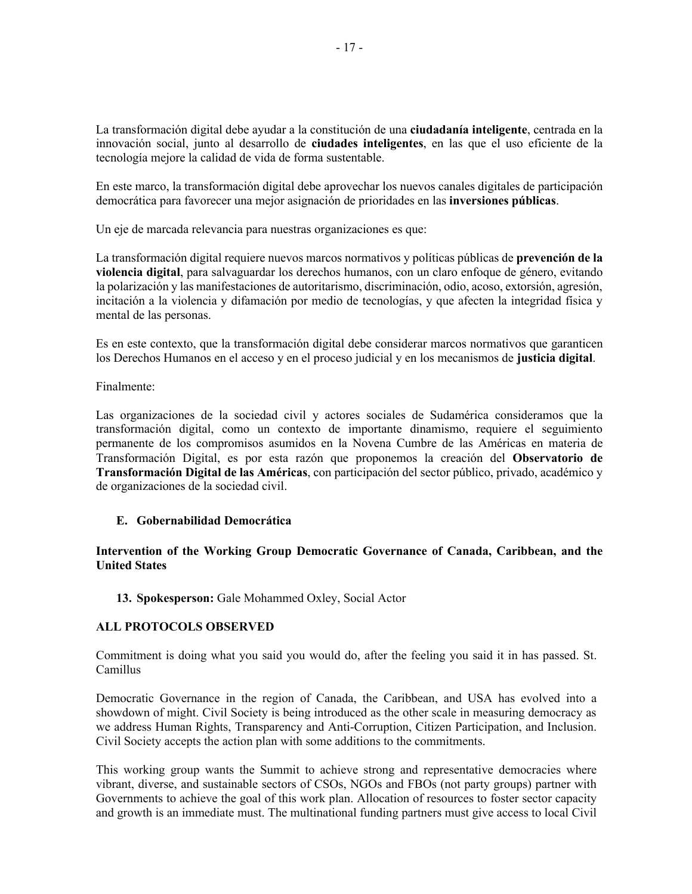La transformación digital debe ayudar a la constitución de una **ciudadanía inteligente**, centrada en la innovación social, junto al desarrollo de **ciudades inteligentes**, en las que el uso eficiente de la tecnología mejore la calidad de vida de forma sustentable.

En este marco, la transformación digital debe aprovechar los nuevos canales digitales de participación democrática para favorecer una mejor asignación de prioridades en las **inversiones públicas**.

Un eje de marcada relevancia para nuestras organizaciones es que:

La transformación digital requiere nuevos marcos normativos y políticas públicas de **prevención de la violencia digital**, para salvaguardar los derechos humanos, con un claro enfoque de género, evitando la polarización y las manifestaciones de autoritarismo, discriminación, odio, acoso, extorsión, agresión, incitación a la violencia y difamación por medio de tecnologías, y que afecten la integridad física y mental de las personas.

Es en este contexto, que la transformación digital debe considerar marcos normativos que garanticen los Derechos Humanos en el acceso y en el proceso judicial y en los mecanismos de **justicia digital**.

Finalmente:

Las organizaciones de la sociedad civil y actores sociales de Sudamérica consideramos que la transformación digital, como un contexto de importante dinamismo, requiere el seguimiento permanente de los compromisos asumidos en la Novena Cumbre de las Américas en materia de Transformación Digital, es por esta razón que proponemos la creación del **Observatorio de Transformación Digital de las Américas**, con participación del sector público, privado, académico y de organizaciones de la sociedad civil.

### **E. Gobernabilidad Democrática**

### **Intervention of the Working Group Democratic Governance of Canada, Caribbean, and the United States**

**13. Spokesperson:** Gale Mohammed Oxley, Social Actor

### **ALL PROTOCOLS OBSERVED**

Commitment is doing what you said you would do, after the feeling you said it in has passed. St. Camillus

Democratic Governance in the region of Canada, the Caribbean, and USA has evolved into a showdown of might. Civil Society is being introduced as the other scale in measuring democracy as we address Human Rights, Transparency and Anti-Corruption, Citizen Participation, and Inclusion. Civil Society accepts the action plan with some additions to the commitments.

This working group wants the Summit to achieve strong and representative democracies where vibrant, diverse, and sustainable sectors of CSOs, NGOs and FBOs (not party groups) partner with Governments to achieve the goal of this work plan. Allocation of resources to foster sector capacity and growth is an immediate must. The multinational funding partners must give access to local Civil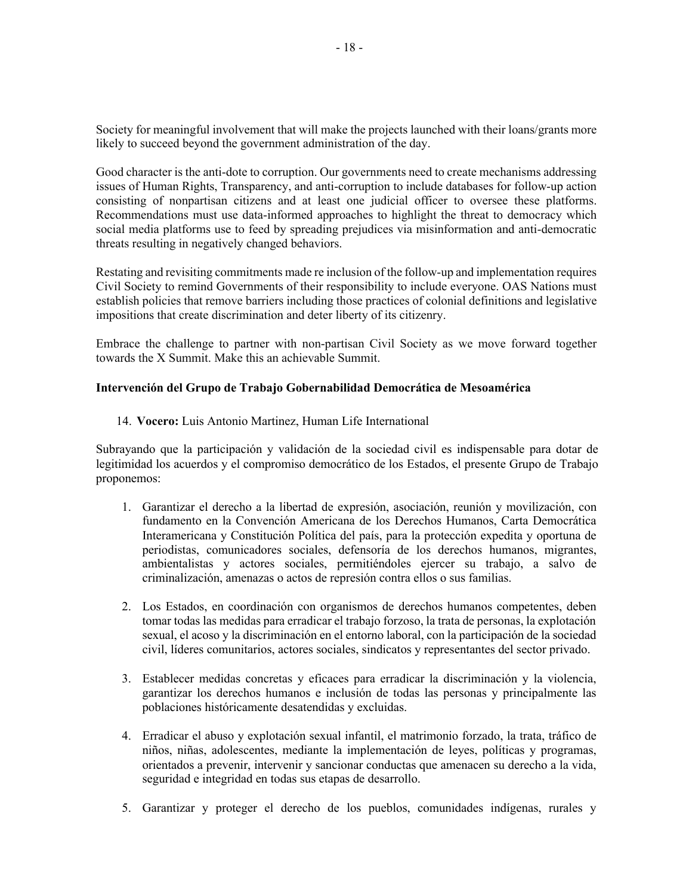Society for meaningful involvement that will make the projects launched with their loans/grants more likely to succeed beyond the government administration of the day.

Good character is the anti-dote to corruption. Our governments need to create mechanisms addressing issues of Human Rights, Transparency, and anti-corruption to include databases for follow-up action consisting of nonpartisan citizens and at least one judicial officer to oversee these platforms. Recommendations must use data-informed approaches to highlight the threat to democracy which social media platforms use to feed by spreading prejudices via misinformation and anti-democratic threats resulting in negatively changed behaviors.

Restating and revisiting commitments made re inclusion of the follow-up and implementation requires Civil Society to remind Governments of their responsibility to include everyone. OAS Nations must establish policies that remove barriers including those practices of colonial definitions and legislative impositions that create discrimination and deter liberty of its citizenry.

Embrace the challenge to partner with non-partisan Civil Society as we move forward together towards the X Summit. Make this an achievable Summit.

### **Intervención del Grupo de Trabajo Gobernabilidad Democrática de Mesoamérica**

14. **Vocero:** Luis Antonio Martinez, Human Life International

Subrayando que la participación y validación de la sociedad civil es indispensable para dotar de legitimidad los acuerdos y el compromiso democrático de los Estados, el presente Grupo de Trabajo proponemos:

- 1. Garantizar el derecho a la libertad de expresión, asociación, reunión y movilización, con fundamento en la Convención Americana de los Derechos Humanos, Carta Democrática Interamericana y Constitución Política del país, para la protección expedita y oportuna de periodistas, comunicadores sociales, defensoría de los derechos humanos, migrantes, ambientalistas y actores sociales, permitiéndoles ejercer su trabajo, a salvo de criminalización, amenazas o actos de represión contra ellos o sus familias.
- 2. Los Estados, en coordinación con organismos de derechos humanos competentes, deben tomar todas las medidas para erradicar el trabajo forzoso, la trata de personas, la explotación sexual, el acoso y la discriminación en el entorno laboral, con la participación de la sociedad civil, líderes comunitarios, actores sociales, sindicatos y representantes del sector privado.
- 3. Establecer medidas concretas y eficaces para erradicar la discriminación y la violencia, garantizar los derechos humanos e inclusión de todas las personas y principalmente las poblaciones históricamente desatendidas y excluidas.
- 4. Erradicar el abuso y explotación sexual infantil, el matrimonio forzado, la trata, tráfico de niños, niñas, adolescentes, mediante la implementación de leyes, políticas y programas, orientados a prevenir, intervenir y sancionar conductas que amenacen su derecho a la vida, seguridad e integridad en todas sus etapas de desarrollo.
- 5. Garantizar y proteger el derecho de los pueblos, comunidades indígenas, rurales y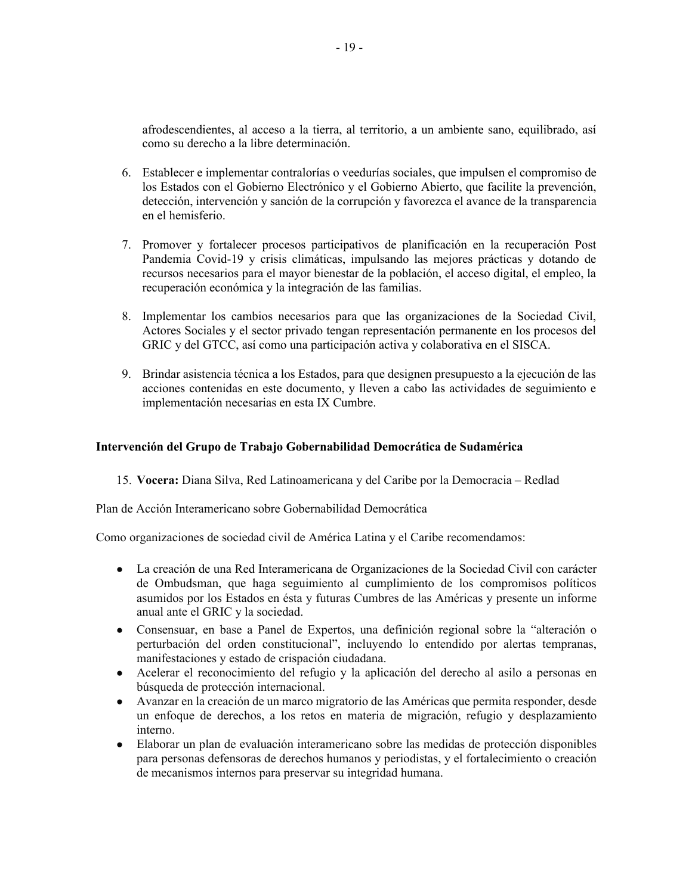afrodescendientes, al acceso a la tierra, al territorio, a un ambiente sano, equilibrado, así como su derecho a la libre determinación.

- 6. Establecer e implementar contralorías o veedurías sociales, que impulsen el compromiso de los Estados con el Gobierno Electrónico y el Gobierno Abierto, que facilite la prevención, detección, intervención y sanción de la corrupción y favorezca el avance de la transparencia en el hemisferio.
- 7. Promover y fortalecer procesos participativos de planificación en la recuperación Post Pandemia Covid-19 y crisis climáticas, impulsando las mejores prácticas y dotando de recursos necesarios para el mayor bienestar de la población, el acceso digital, el empleo, la recuperación económica y la integración de las familias.
- 8. Implementar los cambios necesarios para que las organizaciones de la Sociedad Civil, Actores Sociales y el sector privado tengan representación permanente en los procesos del GRIC y del GTCC, así como una participación activa y colaborativa en el SISCA.
- 9. Brindar asistencia técnica a los Estados, para que designen presupuesto a la ejecución de las acciones contenidas en este documento, y lleven a cabo las actividades de seguimiento e implementación necesarias en esta IX Cumbre.

### **Intervención del Grupo de Trabajo Gobernabilidad Democrática de Sudamérica**

15. **Vocera:** Diana Silva, Red Latinoamericana y del Caribe por la Democracia – Redlad

Plan de Acción Interamericano sobre Gobernabilidad Democrática

Como organizaciones de sociedad civil de América Latina y el Caribe recomendamos:

- La creación de una Red Interamericana de Organizaciones de la Sociedad Civil con carácter de Ombudsman, que haga seguimiento al cumplimiento de los compromisos políticos asumidos por los Estados en ésta y futuras Cumbres de las Américas y presente un informe anual ante el GRIC y la sociedad.
- Consensuar, en base a Panel de Expertos, una definición regional sobre la "alteración o perturbación del orden constitucional", incluyendo lo entendido por alertas tempranas, manifestaciones y estado de crispación ciudadana.
- Acelerar el reconocimiento del refugio y la aplicación del derecho al asilo a personas en búsqueda de protección internacional.
- Avanzar en la creación de un marco migratorio de las Américas que permita responder, desde un enfoque de derechos, a los retos en materia de migración, refugio y desplazamiento interno.
- Elaborar un plan de evaluación interamericano sobre las medidas de protección disponibles para personas defensoras de derechos humanos y periodistas, y el fortalecimiento o creación de mecanismos internos para preservar su integridad humana.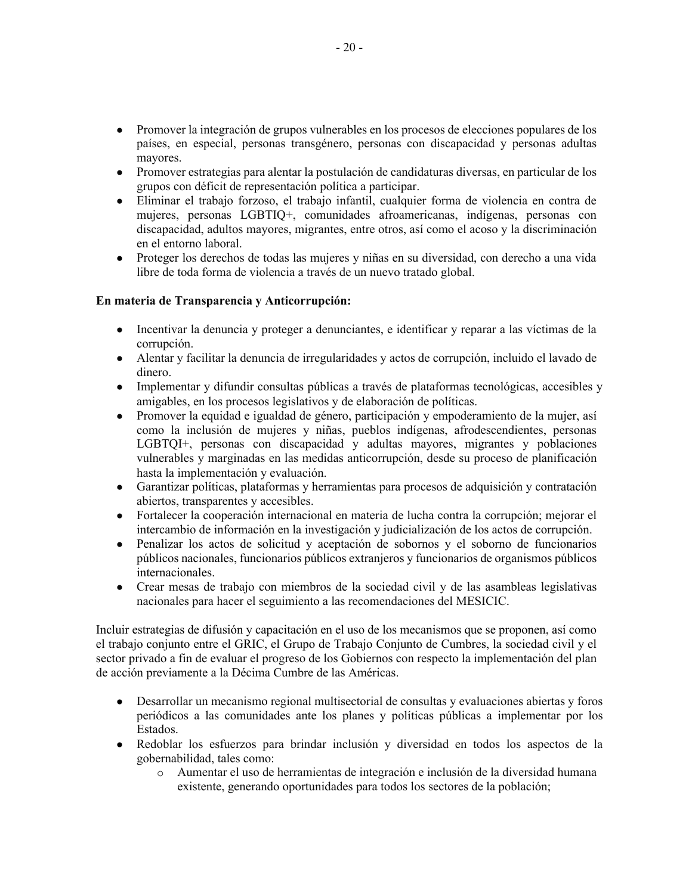- Promover la integración de grupos vulnerables en los procesos de elecciones populares de los países, en especial, personas transgénero, personas con discapacidad y personas adultas mayores.
- Promover estrategias para alentar la postulación de candidaturas diversas, en particular de los grupos con déficit de representación política a participar.
- Eliminar el trabajo forzoso, el trabajo infantil, cualquier forma de violencia en contra de mujeres, personas LGBTIQ+, comunidades afroamericanas, indígenas, personas con discapacidad, adultos mayores, migrantes, entre otros, así como el acoso y la discriminación en el entorno laboral.
- Proteger los derechos de todas las mujeres y niñas en su diversidad, con derecho a una vida libre de toda forma de violencia a través de un nuevo tratado global.

### **En materia de Transparencia y Anticorrupción:**

- Incentivar la denuncia y proteger a denunciantes, e identificar y reparar a las víctimas de la corrupción.
- Alentar y facilitar la denuncia de irregularidades y actos de corrupción, incluido el lavado de dinero.
- Implementar y difundir consultas públicas a través de plataformas tecnológicas, accesibles y amigables, en los procesos legislativos y de elaboración de políticas.
- Promover la equidad e igualdad de género, participación y empoderamiento de la mujer, así como la inclusión de mujeres y niñas, pueblos indígenas, afrodescendientes, personas LGBTQI+, personas con discapacidad y adultas mayores, migrantes y poblaciones vulnerables y marginadas en las medidas anticorrupción, desde su proceso de planificación hasta la implementación y evaluación.
- Garantizar políticas, plataformas y herramientas para procesos de adquisición y contratación abiertos, transparentes y accesibles.
- Fortalecer la cooperación internacional en materia de lucha contra la corrupción; mejorar el intercambio de información en la investigación y judicialización de los actos de corrupción.
- Penalizar los actos de solicitud y aceptación de sobornos y el soborno de funcionarios públicos nacionales, funcionarios públicos extranjeros y funcionarios de organismos públicos internacionales.
- Crear mesas de trabajo con miembros de la sociedad civil y de las asambleas legislativas nacionales para hacer el seguimiento a las recomendaciones del MESICIC.

Incluir estrategias de difusión y capacitación en el uso de los mecanismos que se proponen, así como el trabajo conjunto entre el GRIC, el Grupo de Trabajo Conjunto de Cumbres, la sociedad civil y el sector privado a fin de evaluar el progreso de los Gobiernos con respecto la implementación del plan de acción previamente a la Décima Cumbre de las Américas.

- Desarrollar un mecanismo regional multisectorial de consultas y evaluaciones abiertas y foros periódicos a las comunidades ante los planes y políticas públicas a implementar por los Estados.
- Redoblar los esfuerzos para brindar inclusión y diversidad en todos los aspectos de la gobernabilidad, tales como:
	- o Aumentar el uso de herramientas de integración e inclusión de la diversidad humana existente, generando oportunidades para todos los sectores de la población;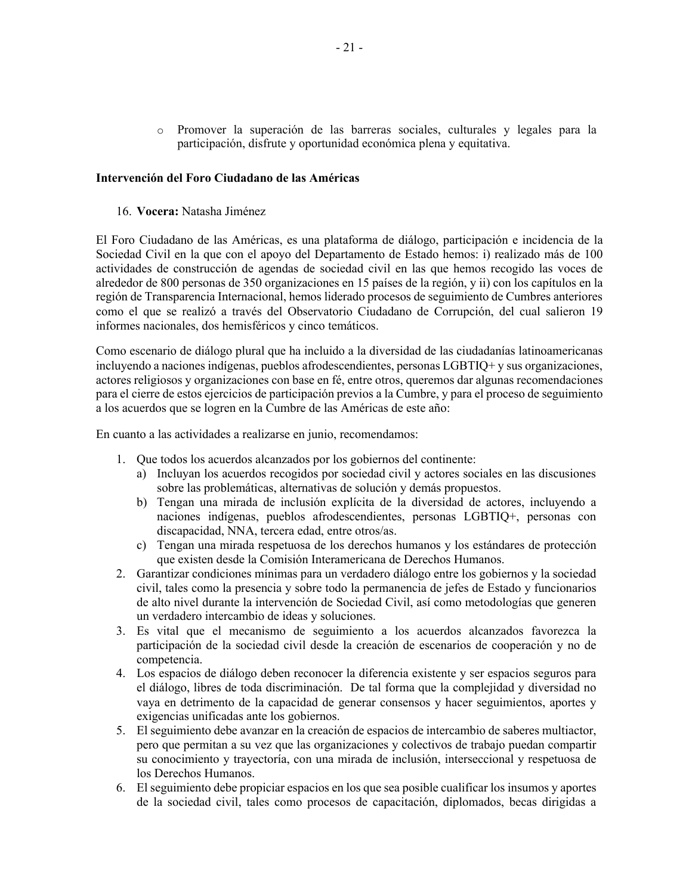o Promover la superación de las barreras sociales, culturales y legales para la participación, disfrute y oportunidad económica plena y equitativa.

#### **Intervención del Foro Ciudadano de las Américas**

16. **Vocera:** Natasha Jiménez

El Foro Ciudadano de las Américas, es una plataforma de diálogo, participación e incidencia de la Sociedad Civil en la que con el apoyo del Departamento de Estado hemos: i) realizado más de 100 actividades de construcción de agendas de sociedad civil en las que hemos recogido las voces de alrededor de 800 personas de 350 organizaciones en 15 países de la región, y ii) con los capítulos en la región de Transparencia Internacional, hemos liderado procesos de seguimiento de Cumbres anteriores como el que se realizó a través del Observatorio Ciudadano de Corrupción, del cual salieron 19 informes nacionales, dos hemisféricos y cinco temáticos.

Como escenario de diálogo plural que ha incluido a la diversidad de las ciudadanías latinoamericanas incluyendo a naciones indígenas, pueblos afrodescendientes, personas LGBTIQ+ y sus organizaciones, actores religiosos y organizaciones con base en fé, entre otros, queremos dar algunas recomendaciones para el cierre de estos ejercicios de participación previos a la Cumbre, y para el proceso de seguimiento a los acuerdos que se logren en la Cumbre de las Américas de este año:

En cuanto a las actividades a realizarse en junio, recomendamos:

- 1. Que todos los acuerdos alcanzados por los gobiernos del continente:
	- a) Incluyan los acuerdos recogidos por sociedad civil y actores sociales en las discusiones sobre las problemáticas, alternativas de solución y demás propuestos.
	- b) Tengan una mirada de inclusión explícita de la diversidad de actores, incluyendo a naciones indígenas, pueblos afrodescendientes, personas LGBTIQ+, personas con discapacidad, NNA, tercera edad, entre otros/as.
	- c) Tengan una mirada respetuosa de los derechos humanos y los estándares de protección que existen desde la Comisión Interamericana de Derechos Humanos.
- 2. Garantizar condiciones mínimas para un verdadero diálogo entre los gobiernos y la sociedad civil, tales como la presencia y sobre todo la permanencia de jefes de Estado y funcionarios de alto nivel durante la intervención de Sociedad Civil, así como metodologías que generen un verdadero intercambio de ideas y soluciones.
- 3. Es vital que el mecanismo de seguimiento a los acuerdos alcanzados favorezca la participación de la sociedad civil desde la creación de escenarios de cooperación y no de competencia.
- 4. Los espacios de diálogo deben reconocer la diferencia existente y ser espacios seguros para el diálogo, libres de toda discriminación. De tal forma que la complejidad y diversidad no vaya en detrimento de la capacidad de generar consensos y hacer seguimientos, aportes y exigencias unificadas ante los gobiernos.
- 5. El seguimiento debe avanzar en la creación de espacios de intercambio de saberes multiactor, pero que permitan a su vez que las organizaciones y colectivos de trabajo puedan compartir su conocimiento y trayectoría, con una mirada de inclusión, interseccional y respetuosa de los Derechos Humanos.
- 6. El seguimiento debe propiciar espacios en los que sea posible cualificar los insumos y aportes de la sociedad civil, tales como procesos de capacitación, diplomados, becas dirigidas a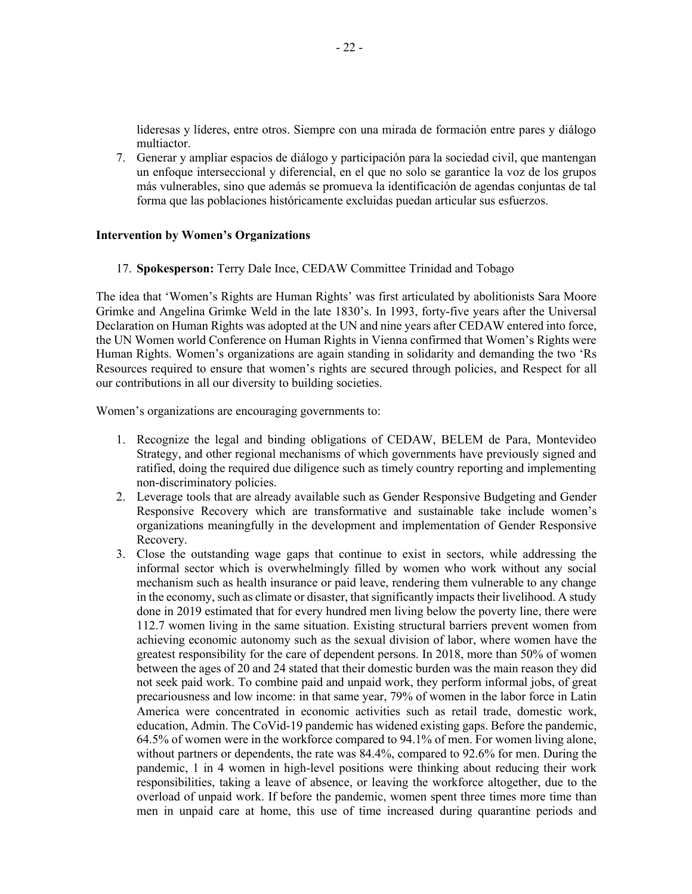lideresas y líderes, entre otros. Siempre con una mirada de formación entre pares y diálogo multiactor.

7. Generar y ampliar espacios de diálogo y participación para la sociedad civil, que mantengan un enfoque interseccional y diferencial, en el que no solo se garantice la voz de los grupos más vulnerables, sino que además se promueva la identificación de agendas conjuntas de tal forma que las poblaciones históricamente excluidas puedan articular sus esfuerzos.

#### **Intervention by Women's Organizations**

17. **Spokesperson:** Terry Dale Ince, CEDAW Committee Trinidad and Tobago

The idea that 'Women's Rights are Human Rights' was first articulated by abolitionists Sara Moore Grimke and Angelina Grimke Weld in the late 1830's. In 1993, forty-five years after the Universal Declaration on Human Rights was adopted at the UN and nine years after CEDAW entered into force, the UN Women world Conference on Human Rights in Vienna confirmed that Women's Rights were Human Rights. Women's organizations are again standing in solidarity and demanding the two 'Rs Resources required to ensure that women's rights are secured through policies, and Respect for all our contributions in all our diversity to building societies.

Women's organizations are encouraging governments to:

- 1. Recognize the legal and binding obligations of CEDAW, BELEM de Para, Montevideo Strategy, and other regional mechanisms of which governments have previously signed and ratified, doing the required due diligence such as timely country reporting and implementing non-discriminatory policies.
- 2. Leverage tools that are already available such as Gender Responsive Budgeting and Gender Responsive Recovery which are transformative and sustainable take include women's organizations meaningfully in the development and implementation of Gender Responsive Recovery.
- 3. Close the outstanding wage gaps that continue to exist in sectors, while addressing the informal sector which is overwhelmingly filled by women who work without any social mechanism such as health insurance or paid leave, rendering them vulnerable to any change in the economy, such as climate or disaster, that significantly impacts their livelihood. A study done in 2019 estimated that for every hundred men living below the poverty line, there were 112.7 women living in the same situation. Existing structural barriers prevent women from achieving economic autonomy such as the sexual division of labor, where women have the greatest responsibility for the care of dependent persons. In 2018, more than 50% of women between the ages of 20 and 24 stated that their domestic burden was the main reason they did not seek paid work. To combine paid and unpaid work, they perform informal jobs, of great precariousness and low income: in that same year, 79% of women in the labor force in Latin America were concentrated in economic activities such as retail trade, domestic work, education, Admin. The CoVid-19 pandemic has widened existing gaps. Before the pandemic, 64.5% of women were in the workforce compared to 94.1% of men. For women living alone, without partners or dependents, the rate was 84.4%, compared to 92.6% for men. During the pandemic, 1 in 4 women in high-level positions were thinking about reducing their work responsibilities, taking a leave of absence, or leaving the workforce altogether, due to the overload of unpaid work. If before the pandemic, women spent three times more time than men in unpaid care at home, this use of time increased during quarantine periods and